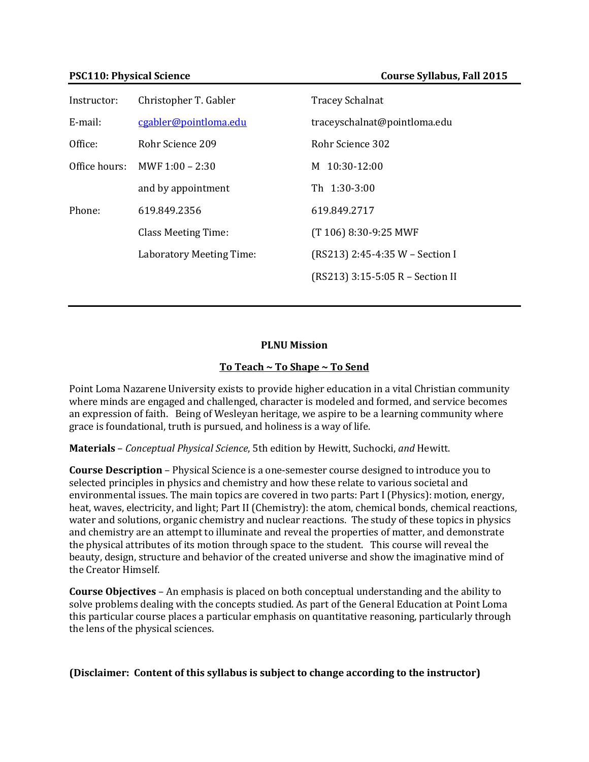| Instructor:   | Christopher T. Gabler      | <b>Tracey Schalnat</b>           |
|---------------|----------------------------|----------------------------------|
| E-mail:       | cgabler@pointloma.edu      | traceyschalnat@pointloma.edu     |
| Office:       | Rohr Science 209           | Rohr Science 302                 |
| Office hours: | MWF $1:00 - 2:30$          | M 10:30-12:00                    |
|               | and by appointment         | Th 1:30-3:00                     |
| Phone:        | 619.849.2356               | 619.849.2717                     |
|               | <b>Class Meeting Time:</b> | (T 106) 8:30-9:25 MWF            |
|               | Laboratory Meeting Time:   | (RS213) 2:45-4:35 W - Section I  |
|               |                            | (RS213) 3:15-5:05 R - Section II |

## **PLNU Mission**

## **To Teach ~ To Shape ~ To Send**

Point Loma Nazarene University exists to provide higher education in a vital Christian community where minds are engaged and challenged, character is modeled and formed, and service becomes an expression of faith. Being of Wesleyan heritage, we aspire to be a learning community where grace is foundational, truth is pursued, and holiness is a way of life.

**Materials** – *Conceptual Physical Science*, 5th edition by Hewitt, Suchocki, *and* Hewitt.

**Course Description** – Physical Science is a one-semester course designed to introduce you to selected principles in physics and chemistry and how these relate to various societal and environmental issues. The main topics are covered in two parts: Part I (Physics): motion, energy, heat, waves, electricity, and light; Part II (Chemistry): the atom, chemical bonds, chemical reactions, water and solutions, organic chemistry and nuclear reactions. The study of these topics in physics and chemistry are an attempt to illuminate and reveal the properties of matter, and demonstrate the physical attributes of its motion through space to the student. This course will reveal the beauty, design, structure and behavior of the created universe and show the imaginative mind of the Creator Himself.

**Course Objectives** – An emphasis is placed on both conceptual understanding and the ability to solve problems dealing with the concepts studied. As part of the General Education at Point Loma this particular course places a particular emphasis on quantitative reasoning, particularly through the lens of the physical sciences.

## **(Disclaimer: Content of this syllabus is subject to change according to the instructor)**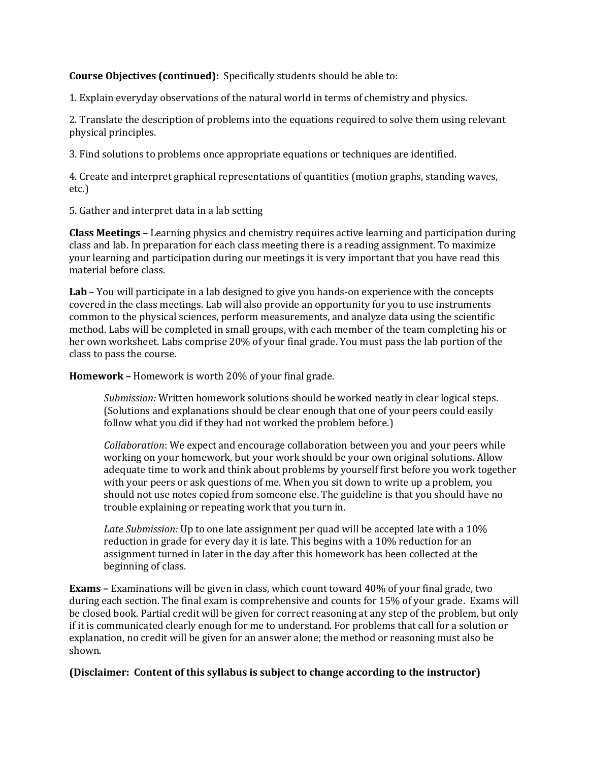# **Course Objectives (continued):** Specifically students should be able to:

1. Explain everyday observations of the natural world in terms of chemistry and physics.

2. Translate the description of problems into the equations required to solve them using relevant physical principles.

3. Find solutions to problems once appropriate equations or techniques are identified.

4. Create and interpret graphical representations of quantities (motion graphs, standing waves, etc.)

5. Gather and interpret data in a lab setting

**Class Meetings** – Learning physics and chemistry requires active learning and participation during class and lab. In preparation for each class meeting there is a reading assignment. To maximize your learning and participation during our meetings it is very important that you have read this material before class.

**Lab** – You will participate in a lab designed to give you hands-on experience with the concepts covered in the class meetings. Lab will also provide an opportunity for you to use instruments common to the physical sciences, perform measurements, and analyze data using the scientific method. Labs will be completed in small groups, with each member of the team completing his or her own worksheet. Labs comprise 20% of your final grade. You must pass the lab portion of the class to pass the course.

**Homework –** Homework is worth 20% of your final grade.

*Submission:* Written homework solutions should be worked neatly in clear logical steps. (Solutions and explanations should be clear enough that one of your peers could easily follow what you did if they had not worked the problem before.)

*Collaboration*: We expect and encourage collaboration between you and your peers while working on your homework, but your work should be your own original solutions. Allow adequate time to work and think about problems by yourself first before you work together with your peers or ask questions of me. When you sit down to write up a problem, you should not use notes copied from someone else. The guideline is that you should have no trouble explaining or repeating work that you turn in.

*Late Submission:* Up to one late assignment per quad will be accepted late with a 10% reduction in grade for every day it is late. This begins with a 10% reduction for an assignment turned in later in the day after this homework has been collected at the beginning of class.

**Exams –** Examinations will be given in class, which count toward 40% of your final grade, two during each section. The final exam is comprehensive and counts for 15% of your grade. Exams will be closed book. Partial credit will be given for correct reasoning at any step of the problem, but only if it is communicated clearly enough for me to understand. For problems that call for a solution or explanation, no credit will be given for an answer alone; the method or reasoning must also be shown.

# **(Disclaimer: Content of this syllabus is subject to change according to the instructor)**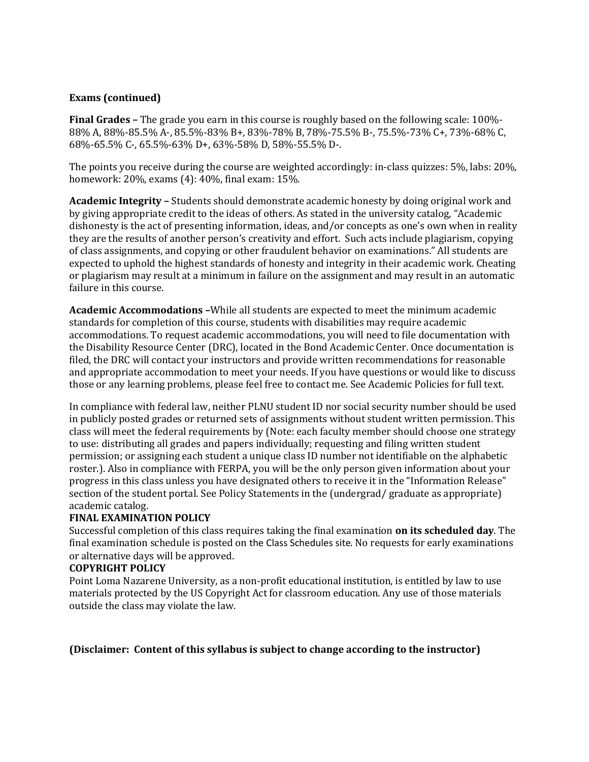# **Exams (continued)**

**Final Grades –** The grade you earn in this course is roughly based on the following scale: 100%- 88% A, 88%-85.5% A-, 85.5%-83% B+, 83%-78% B, 78%-75.5% B-, 75.5%-73% C+, 73%-68% C, 68%-65.5% C-, 65.5%-63% D+, 63%-58% D, 58%-55.5% D-.

The points you receive during the course are weighted accordingly: in-class quizzes: 5%, labs: 20%, homework: 20%, exams (4): 40%, final exam: 15%.

**Academic Integrity –** Students should demonstrate academic honesty by doing original work and by giving appropriate credit to the ideas of others. As stated in the university catalog, "Academic dishonesty is the act of presenting information, ideas, and/or concepts as one's own when in reality they are the results of another person's creativity and effort. Such acts include plagiarism, copying of class assignments, and copying or other fraudulent behavior on examinations." All students are expected to uphold the highest standards of honesty and integrity in their academic work. Cheating or plagiarism may result at a minimum in failure on the assignment and may result in an automatic failure in this course.

**Academic Accommodations –**While all students are expected to meet the minimum academic standards for completion of this course, students with disabilities may require academic accommodations. To request academic accommodations, you will need to file documentation with the Disability Resource Center (DRC), located in the Bond Academic Center. Once documentation is filed, the DRC will contact your instructors and provide written recommendations for reasonable and appropriate accommodation to meet your needs. If you have questions or would like to discuss those or any learning problems, please feel free to contact me. See Academic Policies for full text.

In compliance with federal law, neither PLNU student ID nor social security number should be used in publicly posted grades or returned sets of assignments without student written permission. This class will meet the federal requirements by (Note: each faculty member should choose one strategy to use: distributing all grades and papers individually; requesting and filing written student permission; or assigning each student a unique class ID number not identifiable on the alphabetic roster.). Also in compliance with FERPA, you will be the only person given information about your progress in this class unless you have designated others to receive it in the "Information Release" section of the student portal. See Policy Statements in the (undergrad/ graduate as appropriate) academic catalog.

## **FINAL EXAMINATION POLICY**

Successful completion of this class requires taking the final examination **on its scheduled day**. The final examination schedule is posted on the Class Schedules site. No requests for early examinations or alternative days will be approved.

## **COPYRIGHT POLICY**

Point Loma Nazarene University, as a non-profit educational institution, is entitled by law to use materials protected by the US Copyright Act for classroom education. Any use of those materials outside the class may violate the law.

## **(Disclaimer: Content of this syllabus is subject to change according to the instructor)**